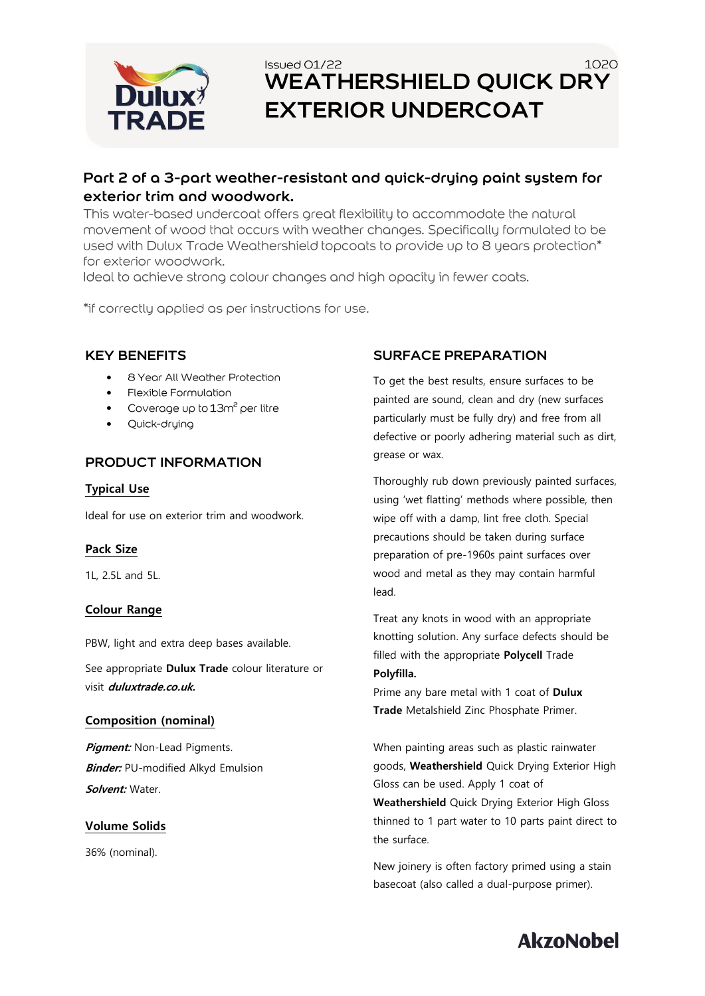

## Issued 01/22  $1020$ **WEATHERSHIELD QUICK DRY EXTERIOR UNDERCOAT**

## **Part 2 of a 3-part weather-resistant and quick-drying paint system for exterior trim and woodwork.**

This water-based undercoat offers great flexibility to accommodate the natural movement of wood that occurs with weather changes. Specifically formulated to be used with Dulux Trade Weathershield topcoats to provide up to 8 years protection\* for exterior woodwork.

Ideal to achieve strong colour changes and high opacity in fewer coats.

\*if correctly applied as per instructions for use.

#### **KEY BENEFITS**

- 8 Year All Weather Protection
- Flexible Formulation
- Coverage up to 13m<sup>2</sup> per litre
- Quick-drying

#### **PRODUCT INFORMATION**

#### **Typical Use**

Ideal for use on exterior trim and woodwork.

#### **Pack Size**

1L, 2.5L and 5L.

#### **Colour Range**

PBW, light and extra deep bases available.

See appropriate **Dulux Trade** colour literature or visit **duluxtrade.co.uk.**

#### **Composition (nominal)**

**Pigment:** Non-Lead Pigments. **Binder:** PU-modified Alkyd Emulsion **Solvent:** Water.

#### **Volume Solids**

36% (nominal).

### **SURFACE PREPARATION**

To get the best results, ensure surfaces to be painted are sound, clean and dry (new surfaces particularly must be fully dry) and free from all defective or poorly adhering material such as dirt, grease or wax.

Thoroughly rub down previously painted surfaces, using 'wet flatting' methods where possible, then wipe off with a damp, lint free cloth. Special precautions should be taken during surface preparation of pre-1960s paint surfaces over wood and metal as they may contain harmful lead.

Treat any knots in wood with an appropriate knotting solution. Any surface defects should be filled with the appropriate **Polycell** Trade **Polyfilla.**

Prime any bare metal with 1 coat of **Dulux Trade** Metalshield Zinc Phosphate Primer.

When painting areas such as plastic rainwater goods, **Weathershield** Quick Drying Exterior High Gloss can be used. Apply 1 coat of **Weathershield** Quick Drying Exterior High Gloss thinned to 1 part water to 10 parts paint direct to the surface.

New joinery is often factory primed using a stain basecoat (also called a dual-purpose primer).

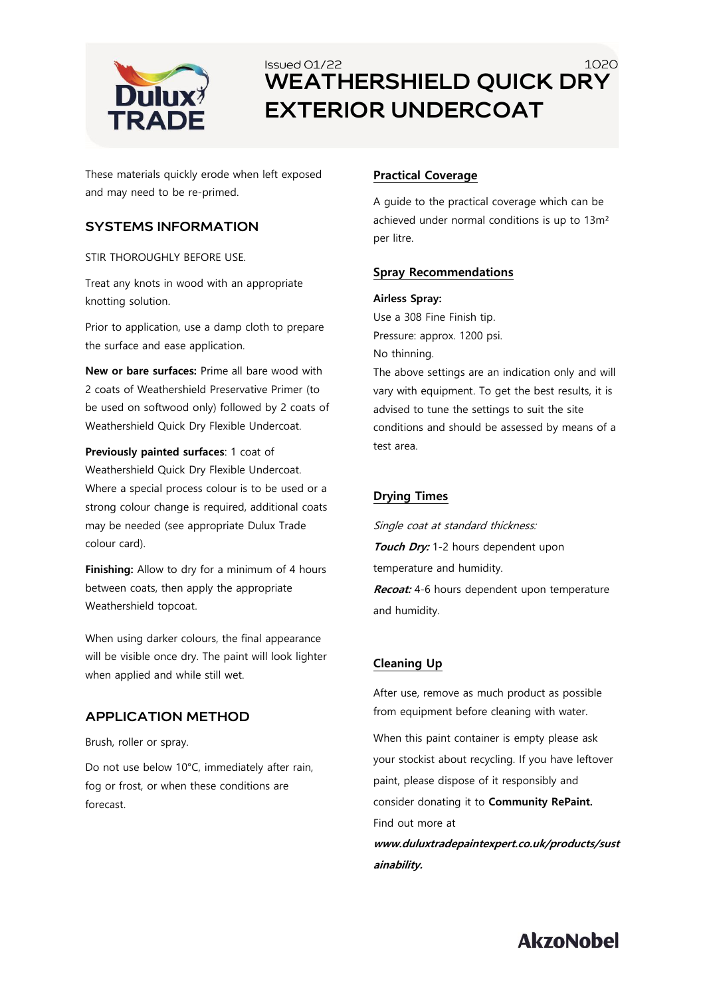

## Issued 01/22 1020 **WEATHERSHIELD QUICK DRY EXTERIOR UNDERCOAT**

These materials quickly erode when left exposed and may need to be re-primed.

#### **SYSTEMS INFORMATION**

STIR THOROUGHLY BEFORE USE.

Treat any knots in wood with an appropriate knotting solution.

Prior to application, use a damp cloth to prepare the surface and ease application.

**New or bare surfaces:** Prime all bare wood with 2 coats of Weathershield Preservative Primer (to be used on softwood only) followed by 2 coats of Weathershield Quick Dry Flexible Undercoat.

**Previously painted surfaces**: 1 coat of Weathershield Quick Dry Flexible Undercoat. Where a special process colour is to be used or a strong colour change is required, additional coats may be needed (see appropriate Dulux Trade colour card).

**Finishing:** Allow to dry for a minimum of 4 hours between coats, then apply the appropriate Weathershield topcoat.

When using darker colours, the final appearance will be visible once dry. The paint will look lighter when applied and while still wet.

#### **APPLICATION METHOD**

Brush, roller or spray.

Do not use below 10°C, immediately after rain, fog or frost, or when these conditions are forecast.

#### **Practical Coverage**

A guide to the practical coverage which can be achieved under normal conditions is up to 13m² per litre.

#### **Spray Recommendations**

#### **Airless Spray:**

Use a 308 Fine Finish tip. Pressure: approx. 1200 psi. No thinning. The above settings are an indication only and will vary with equipment. To get the best results, it is advised to tune the settings to suit the site conditions and should be assessed by means of a test area.

#### **Drying Times**

Single coat at standard thickness: **Touch Dry:** 1-2 hours dependent upon temperature and humidity. **Recoat:** 4-6 hours dependent upon temperature and humidity.

#### **Cleaning Up**

After use, remove as much product as possible from equipment before cleaning with water.

When this paint container is empty please ask your stockist about recycling. If you have leftover paint, please dispose of it responsibly and consider donating it to **Community RePaint.** Find out more at

**www.duluxtradepaintexpert.co.uk/products/sust ainability.**